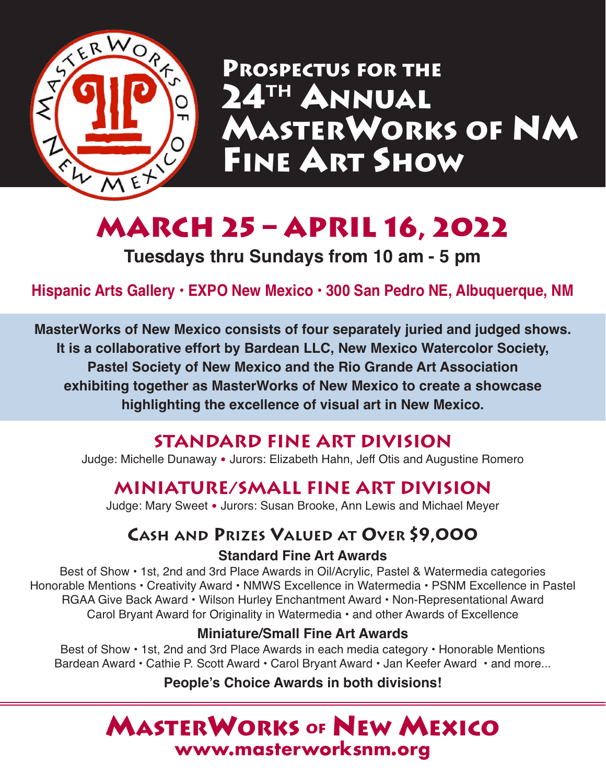

**PROSPECTUS FOR THE 24th ANNUAL MASTERWORKS OF NM FINE ART SHOW**

# **March 25 – April 16, 2022**

**Tuesdays thru Sundays from 10 am - 5 pm**

**Hispanic Arts Gallery • EXPO New Mexico • 300 San Pedro NE, Albuquerque, NM**

**MasterWorks of New Mexico consists of four separately juried and judged shows. It is a collaborative effort by Bardean LLC, New Mexico Watercolor Society, Pastel Society of New Mexico and the Rio Grande Art Association exhibiting together as MasterWorks of New Mexico to create a showcase highlighting the excellence of visual art in New Mexico.**

# **Standard Fine Art Division**

Judge: Michelle Dunaway • Jurors: Elizabeth Hahn, Jeff Otis and Augustine Romero

# **Miniature/Small Fine Art Division**

Judge: Mary Sweet • Jurors: Susan Brooke, Ann Lewis and Michael Meyer

# **CASH AND PRIZES VALUED AT OVER \$9,000**

#### **Standard Fine Art Awards**

Best of Show • 1st, 2nd and 3rd Place Awards in Oil/Acrylic, Pastel & Watermedia categories Honorable Mentions • Creativity Award • NMWS Excellence in Watermedia • PSNM Excellence in Pastel RGAA Give Back Award • Wilson Hurley Enchantment Award • Non-Representational Award Carol Bryant Award for Originality in Watermedia • and other Awards of Excellence

### **Miniature/Small Fine Art Awards**

Best of Show • 1st, 2nd and 3rd Place Awards in each media category • Honorable Mentions Bardean Award • Cathie P. Scott Award • Carol Bryant Award • Jan Keefer Award • and more...

### **People's Choice Awards in both divisions!**

# **MASTERWORKS OF NEW MEXICO [www.masterworksnm.org](https://masterworksnm.org/)**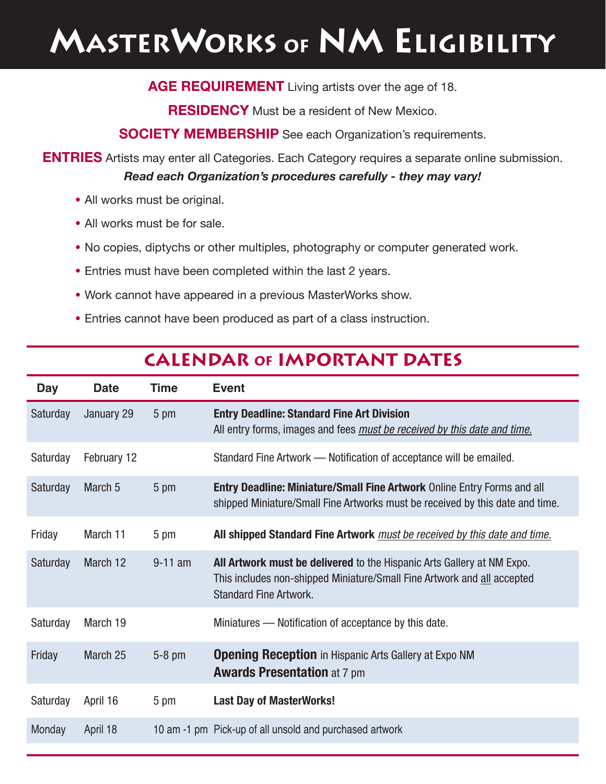# **MASTERWORKS of NM ELIGIBILITY**

**AGE REQUIREMENT** Living artists over the age of 18.

**RESIDENCY** Must be a resident of New Mexico.

**SOCIETY MEMBERSHIP** See each Organization's requirements.

**ENTRIES** Artists may enter all Categories. Each Category requires a separate online submission. *Read each Organization's procedures carefully - they may vary!*

- **•** All works must be original.
- **•** All works must be for sale.
- **•** No copies, diptychs or other multiples, photography or computer generated work.
- **•** Entries must have been completed within the last 2 years.
- **•** Work cannot have appeared in a previous MasterWorks show.
- **•** Entries cannot have been produced as part of a class instruction.

| <b>Day</b> | <b>Date</b>        | <b>Time</b> | <b>Event</b>                                                                                                                                                                       |  |  |  |
|------------|--------------------|-------------|------------------------------------------------------------------------------------------------------------------------------------------------------------------------------------|--|--|--|
| Saturday   | January 29         | 5 pm        | <b>Entry Deadline: Standard Fine Art Division</b><br>All entry forms, images and fees <i>must be received by this date and time</i> .                                              |  |  |  |
| Saturday   | February 12        |             | Standard Fine Artwork - Notification of acceptance will be emailed.                                                                                                                |  |  |  |
| Saturday   | March <sub>5</sub> | 5 pm        | <b>Entry Deadline: Miniature/Small Fine Artwork Online Entry Forms and all</b><br>shipped Miniature/Small Fine Artworks must be received by this date and time.                    |  |  |  |
| Friday     | March 11           | 5 pm        | All shipped Standard Fine Artwork must be received by this date and time.                                                                                                          |  |  |  |
| Saturday   | March 12           | $9-11$ am   | All Artwork must be delivered to the Hispanic Arts Gallery at NM Expo.<br>This includes non-shipped Miniature/Small Fine Artwork and all accepted<br><b>Standard Fine Artwork.</b> |  |  |  |
| Saturday   | March 19           |             | Miniatures - Notification of acceptance by this date.                                                                                                                              |  |  |  |
| Friday     | March 25           | $5-8$ pm    | <b>Opening Reception</b> in Hispanic Arts Gallery at Expo NM<br><b>Awards Presentation at 7 pm</b>                                                                                 |  |  |  |
| Saturday   | April 16           | 5 pm        | <b>Last Day of MasterWorks!</b>                                                                                                                                                    |  |  |  |
| Monday     | April 18           |             | 10 am -1 pm Pick-up of all unsold and purchased artwork                                                                                                                            |  |  |  |

### **Calendar of Important Dates**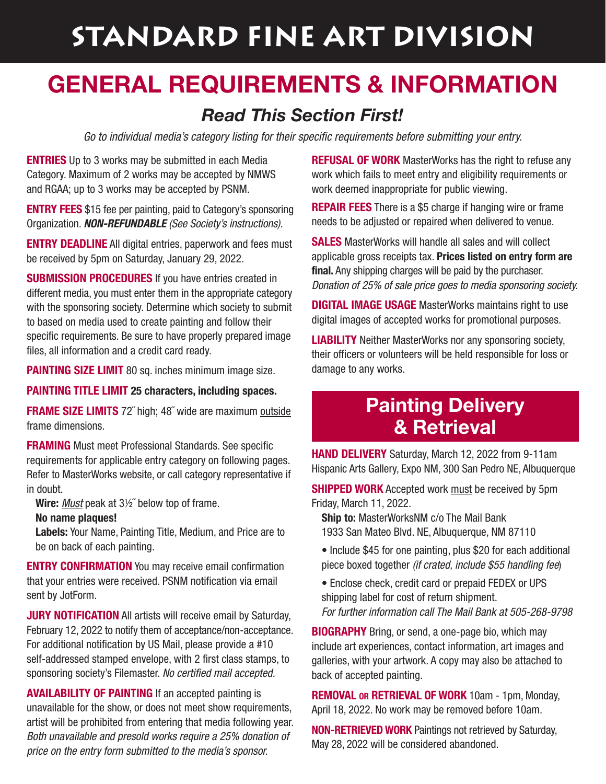# **STANDARD FINE ART DIVISION**

# **geneRAL RequiRements & infORmAtiOn**

## *Read This Section First!*

Go to individual media's category listing for their specific requirements before submitting your entry.

**ENTRIES** Up to 3 works may be submitted in each Media Category. Maximum of 2 works may be accepted by NMWS and RGAA; up to 3 works may be accepted by PSNM.

**ENTRY FEES** \$15 fee per painting, paid to Category's sponsoring Organization. **NON-REFUNDABLE** (See Society's instructions).

**ENTRY DEADLINE** All digital entries, paperwork and fees must be received by 5pm on Saturday, January 29, 2022.

**SUBMISSION PROCEDURES** If you have entries created in different media, you must enter them in the appropriate category with the sponsoring society. Determine which society to submit to based on media used to create painting and follow their specific requirements. Be sure to have properly prepared image files, all information and a credit card ready.

**PAINTING SIZE LIMIT** 80 sq. inches minimum image size.

**PAINTING TITLE LIMIT 25 characters, including spaces.**

**FRAME SIZE LIMITS** 72˝ high; 48˝ wide are maximum outside frame dimensions.

**FRAMING** Must meet Professional Standards. See specific requirements for applicable entry category on following pages. Refer to MasterWorks website, or call category representative if in doubt.

**Wire:** Must peak at 3½˝ below top of frame.

#### **No name plaques!**

**Labels:** Your Name, Painting Title, Medium, and Price are to be on back of each painting.

**ENTRY CONFIRMATION** You may receive email confirmation that your entries were received. PSNM notification via email sent by JotForm.

**JURY NOTIFICATION** All artists will receive email by Saturday, February 12, 2022 to notify them of acceptance/non-acceptance. For additional notification by US Mail, please provide a #10 self-addressed stamped envelope, with 2 first class stamps, to sponsoring society's Filemaster. No certified mail accepted.

**AVAILABILITY OF PAINTING** If an accepted painting is unavailable for the show, or does not meet show requirements, artist will be prohibited from entering that media following year. Both unavailable and presold works require a 25% donation of price on the entry form submitted to the media's sponsor.

**REFUSAL OF WORK** MasterWorks has the right to refuse any work which fails to meet entry and eligibility requirements or work deemed inappropriate for public viewing.

**REPAIR FEES** There is a \$5 charge if hanging wire or frame needs to be adjusted or repaired when delivered to venue.

**SALES** MasterWorks will handle all sales and will collect applicable gross receipts tax. **Prices listed on entry form are final.** Any shipping charges will be paid by the purchaser. Donation of 25% of sale price goes to media sponsoring society.

**DIGITAL IMAGE USAGE** MasterWorks maintains right to use digital images of accepted works for promotional purposes.

**LIABILITY** Neither MasterWorks nor any sponsoring society, their officers or volunteers will be held responsible for loss or damage to any works.

# **Painting Delivery & Retrieval**

**HAND DELIVERY** Saturday, March 12, 2022 from 9-11am Hispanic Arts Gallery, Expo NM, 300 San Pedro NE, Albuquerque

**SHIPPED WORK** Accepted work must be received by 5pm Friday, March 11, 2022.

**Ship to:** MasterWorksNM c/o The Mail Bank 1933 San Mateo Blvd. NE, Albuquerque, NM 87110

- Include \$45 for one painting, plus \$20 for each additional piece boxed together (if crated, include \$55 handling fee)
- Enclose check, credit card or prepaid FEDEX or UPS shipping label for cost of return shipment. For further information call The Mail Bank at 505-268-9798

**BIOGRAPHY** Bring, or send, a one-page bio, which may include art experiences, contact information, art images and galleries, with your artwork. A copy may also be attached to back of accepted painting.

**REMOVAL OR RETRIEVAL OF WORK** 10am - 1pm, Monday, April 18, 2022. No work may be removed before 10am.

**NON-RETRIEVED WORK** Paintings not retrieved by Saturday, May 28, 2022 will be considered abandoned.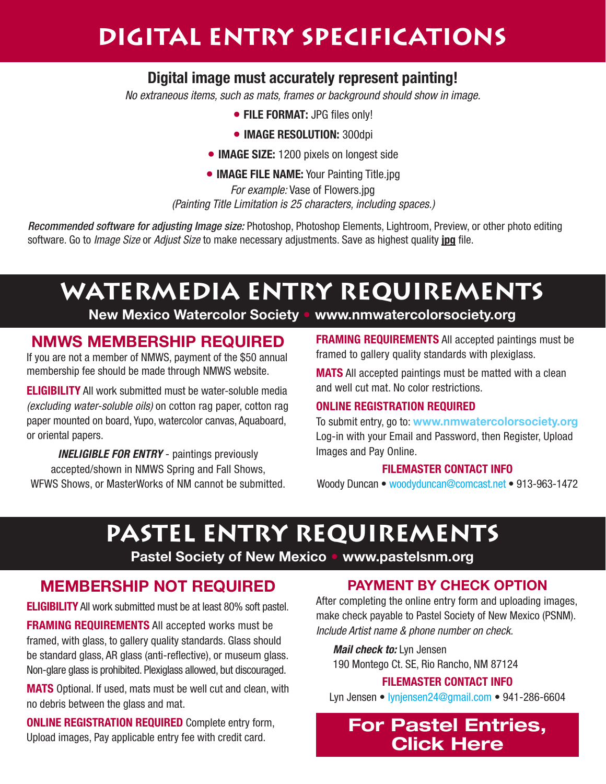# **Digital entry specifications**

#### **Digital image must accurately represent painting!**

No extraneous items, such as mats, frames or background should show in image.

- **• FILE FORMAT:** JPG files only!
- **•IMAGE RESOLUTION:** 300dpi
- **•IMAGE SIZE:** 1200 pixels on longest side
- **•IMAGE FILE NAME:** Your Painting Title.jpg

For example: Vase of Flowers.jpg (Painting Title Limitation is 25 characters, including spaces.)

Recommended software for adjusting Image size: Photoshop, Photoshop Elements, Lightroom, Preview, or other photo editing software. Go to Image Size or Adjust Size to make necessary adjustments. Save as highest quality **jpg** file.

# **WATERMEDIA entry requirements**

**new mexico Watercolor society • [www.nmwatercolorsociety.org](https://www.nmwatercolorsociety.org/)**

#### **nmWs membeRship RequiRed**

If you are not a member of NMWS, payment of the \$50 annual membership fee should be made through NMWS website.

**ELIGIBILITY** All work submitted must be water-soluble media (excluding water-soluble oils) on cotton rag paper, cotton rag paper mounted on board, Yupo, watercolor canvas, Aquaboard, or oriental papers.

**INELIGIBLE FOR ENTRY** - paintings previously accepted/shown in NMWS Spring and Fall Shows, WFWS Shows, or MasterWorks of NM cannot be submitted. **FRAMING REQUIREMENTS** All accepted paintings must be framed to gallery quality standards with plexiglass.

**MATS** All accepted paintings must be matted with a clean and well cut mat. No color restrictions.

#### **ONLINE REGISTRATION REQUIRED**

To submit entry, go to: **[www.nmwatercolorsociety.org](https://www.nmwatercolorsociety.org/)** Log-in with your Email and Password, then Register, Upload Images and Pay Online.

#### **FILEMASTER CONTACT INFO**

Woody Duncan • [woodyduncan@comcast.net](mailto:woodyduncan@comcast.net) • 913-963-1472

# **pastel entry requirements**

**pastel society of new mexico • [www.pastelsnm.org](http://pastelsnm.org)**

#### **membeRship nOt RequiRed**

**ELIGIBILITY** All work submitted must be at least 80% soft pastel.

**FRAMING REQUIREMENTS** All accepted works must be framed, with glass, to gallery quality standards. Glass should be standard glass, AR glass (anti-reflective), or museum glass. Non-glare glass is prohibited. Plexiglass allowed, but discouraged.

**MATS** Optional. If used, mats must be well cut and clean, with no debris between the glass and mat.

**ONLINE REGISTRATION REQUIRED** Complete entry form, Upload images, Pay applicable entry fee with credit card.

#### **pAYment bY check OptiOn**

After completing the online entry form and uploading images, make check payable to Pastel Society of New Mexico (PSNM). Include Artist name & phone number on check.

**Mail check to:** Lyn Jensen

190 Montego Ct. SE, Rio Rancho, NM 87124

#### **FILEMASTER CONTACT INFO**

Lyn Jensen • [lynjensen24@gmail.com](mailto:lynjensen24@gmail.com) • 941-286-6604

### **[For Pastel Entries,](https://form.jotform.us/62386282202149) [Click Here](https://form.jotform.us/62386282202149)**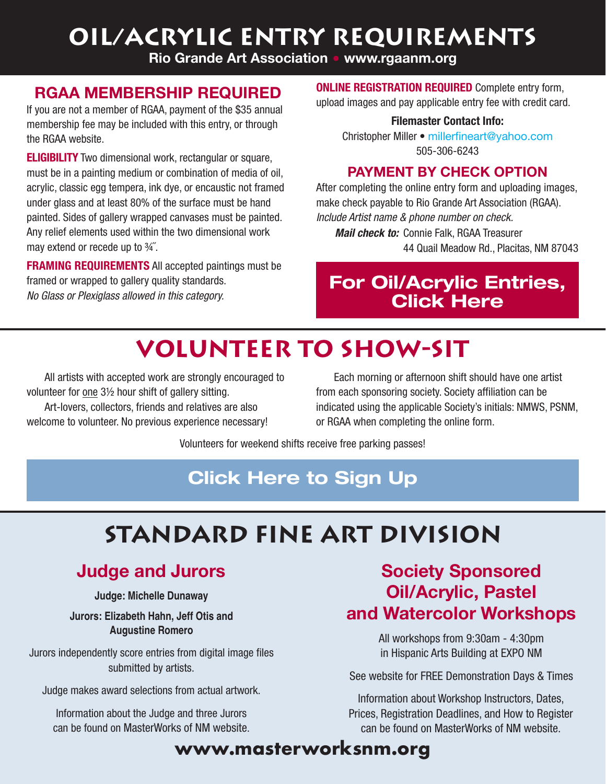# **oil/acrylic entry requirements**

**Rio grande Art Association • [www.rgaanm.org](https://rgaanm.org)**

### **RgAA membeRship RequiRed**

If you are not a member of RGAA, payment of the \$35 annual membership fee may be included with this entry, or through the RGAA website.

**ELIGIBILITY** Two dimensional work, rectangular or square, must be in a painting medium or combination of media of oil, acrylic, classic egg tempera, ink dye, or encaustic not framed under glass and at least 80% of the surface must be hand painted. Sides of gallery wrapped canvases must be painted. Any relief elements used within the two dimensional work may extend or recede up to ¾˝.

**FRAMING REQUIREMENTS** All accepted paintings must be framed or wrapped to gallery quality standards. No Glass or Plexiglass allowed in this category.

**ONLINE REGISTRATION REQUIRED** Complete entry form, upload images and pay applicable entry fee with credit card.

**Filemaster Contact Info:**

Christopher Miller • [millerfineart@yahoo.com](mailto:millerfineart@yahoo.com) 505-306-6243

#### **pAYment bY check OptiOn**

After completing the online entry form and uploading images, make check payable to Rio Grande Art Association (RGAA). Include Artist name & phone number on check.

**Mail check to:** Connie Falk, RGAA Treasurer 44 Quail Meadow Rd., Placitas, NM 87043

# **[For Oil/Acrylic Entries,](https://rgaanm.org) [Click Here](https://rgaanm.org)**

# **volunteer to Show-Sit**

All artists with accepted work are strongly encouraged to volunteer for one 3½ hour shift of gallery sitting.

Art-lovers, collectors, friends and relatives are also welcome to volunteer. No previous experience necessary!

Each morning or afternoon shift should have one artist from each sponsoring society. Society affiliation can be indicated using the applicable Society's initials: NMWS, PSNM, or RGAA when completing the online form.

Volunteers for weekend shifts receive free parking passes!

# **[Click Here to Sign Up](https://signup.com/go/dUmesGj)**

# **Standard Fine art division**

# **Judge and Jurors**

**Judge: Michelle Dunaway**

**Jurors: Elizabeth Hahn, Jeff Otis and Augustine Romero**

Jurors independently score entries from digital image files submitted by artists.

Judge makes award selections from actual artwork.

Information about the Judge and three Jurors can be found on MasterWorks of NM website.

### **society sponsored Oil/Acrylic, pastel and Watercolor Workshops**

All workshops from 9:30am - 4:30pm in Hispanic Arts Building at EXPO NM

See website for FREE Demonstration Days & Times

Information about Workshop Instructors, Dates, Prices, Registration Deadlines, and How to Register can be found on MasterWorks of NM website.

# **[www.masterworksnm.org](https://masterworksnm.org/)**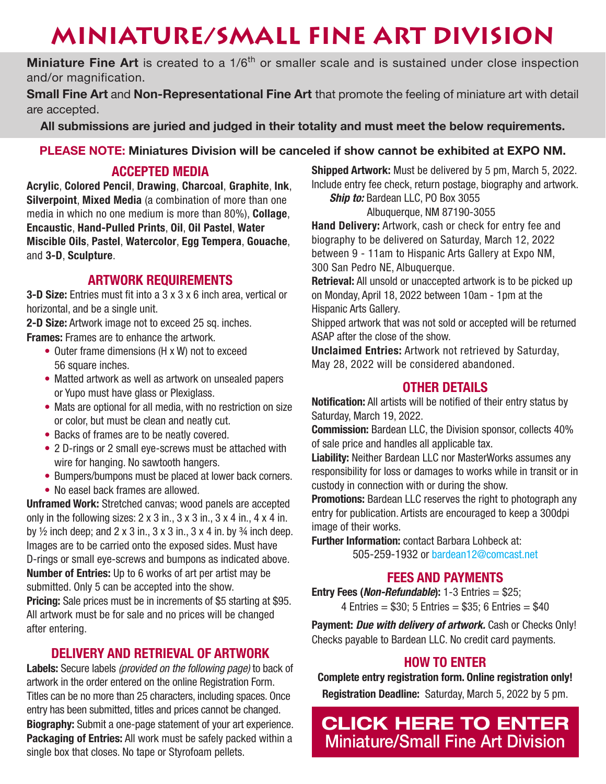# **MINIATURE/SMALL FINE ART DIVISION**

**Miniature Fine Art** is created to a 1/6<sup>th</sup> or smaller scale and is sustained under close inspection and/or magnification.

**Small Fine Art** and **Non-Representational Fine Art** that promote the feeling of miniature art with detail are accepted.

**All submissions are juried and judged in their totality and must meet the below requirements.**

#### **pLeAse nOte: miniatures division will be canceled if show cannot be exhibited at eXpO nm.**

#### **ACCEPTED MEDIA**

**Acrylic**, **Colored Pencil**, **Drawing**, **Charcoal**, **Graphite**, **Ink**, **Silverpoint**, **Mixed Media** (a combination of more than one media in which no one medium is more than 80%), **Collage**, **Encaustic**, **Hand-Pulled Prints**, **Oil**, **Oil Pastel**, **Water Miscible Oils**, **Pastel**, **Watercolor**, **Egg Tempera**, **Gouache**, and **3-D**, **Sculpture**.

#### **ARTWORK REQUIREMENTS**

**3-D Size:** Entries must fit into a 3 x 3 x 6 inch area, vertical or horizontal, and be a single unit.

**2-D Size:** Artwork image not to exceed 25 sq. inches.

**Frames:** Frames are to enhance the artwork.

- Outer frame dimensions (H x W) not to exceed 56 square inches.
- Matted artwork as well as artwork on unsealed papers or Yupo must have glass or Plexiglass.
- Mats are optional for all media, with no restriction on size or color, but must be clean and neatly cut.
- Backs of frames are to be neatly covered.
- 2 D-rings or 2 small eye-screws must be attached with wire for hanging. No sawtooth hangers.
- Bumpers/bumpons must be placed at lower back corners.
- No easel back frames are allowed.

**Unframed Work:** Stretched canvas; wood panels are accepted only in the following sizes:  $2 \times 3$  in.,  $3 \times 3$  in.,  $3 \times 4$  in.,  $4 \times 4$  in. by  $\frac{1}{2}$  inch deep; and 2 x 3 in., 3 x 3 in., 3 x 4 in. by  $\frac{3}{4}$  inch deep. Images are to be carried onto the exposed sides. Must have D-rings or small eye-screws and bumpons as indicated above. **Number of Entries:** Up to 6 works of art per artist may be submitted. Only 5 can be accepted into the show. **Pricing:** Sale prices must be in increments of \$5 starting at \$95. All artwork must be for sale and no prices will be changed after entering.

#### **DELIVERY AND RETRIEVAL OF ARTWORK**

Labels: Secure labels *(provided on the following page)* to back of artwork in the order entered on the online Registration Form. Titles can be no more than 25 characters, including spaces. Once entry has been submitted, titles and prices cannot be changed. **Biography:** Submit a one-page statement of your art experience. **Packaging of Entries:** All work must be safely packed within a single box that closes. No tape or Styrofoam pellets.

**Shipped Artwork:** Must be delivered by 5 pm, March 5, 2022. Include entry fee check, return postage, biography and artwork. **Ship to:** Bardean LLC, PO Box 3055

Albuquerque, NM 87190-3055

**Hand Delivery:** Artwork, cash or check for entry fee and biography to be delivered on Saturday, March 12, 2022 between 9 - 11am to Hispanic Arts Gallery at Expo NM, 300 San Pedro NE, Albuquerque.

**Retrieval:** All unsold or unaccepted artwork is to be picked up on Monday, April 18, 2022 between 10am - 1pm at the Hispanic Arts Gallery.

Shipped artwork that was not sold or accepted will be returned ASAP after the close of the show.

**Unclaimed Entries:** Artwork not retrieved by Saturday, May 28, 2022 will be considered abandoned.

#### **OTHER DETAILS**

**Notification:** All artists will be notified of their entry status by Saturday, March 19, 2022.

**Commission:** Bardean LLC, the Division sponsor, collects 40% of sale price and handles all applicable tax.

**Liability:** Neither Bardean LLC nor MasterWorks assumes any responsibility for loss or damages to works while in transit or in custody in connection with or during the show.

**Promotions:** Bardean LLC reserves the right to photograph any entry for publication. Artists are encouraged to keep a 300dpi image of their works.

**Further Information:** contact Barbara Lohbeck at: 505-259-1932 or [bardean12@comcast.net](mailto:bardean12@comcast.net)

#### **FEES AND PAYMENTS**

**Entry Fees (Non-Refundable):** 1-3 Entries = \$25;  $4$  Entries = \$30; 5 Entries = \$35; 6 Entries = \$40

**Payment: Due with delivery of artwork.** Cash or Checks Only! Checks payable to Bardean LLC. No credit card payments.

#### **HOW TO ENTER**

**Complete entry registration form. Online registration only! Registration Deadline:** Saturday, March 5, 2022 by 5 pm.

**[CLICK HERE TO ENTER](https://form.jotform.com/202776405656158) [Miniature/Small Fine Art Division](https://form.jotform.com/202776405656158)**